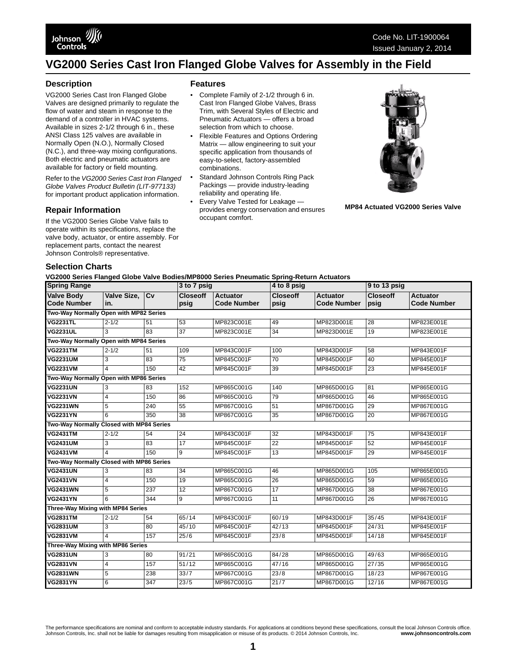### **Description**

VG2000 Series Cast Iron Flanged Globe Valves are designed primarily to regulate the flow of water and steam in response to the demand of a controller in HVAC systems. Available in sizes 2-1/2 through 6 in., these ANSI Class 125 valves are available in Normally Open (N.O.), Normally Closed (N.C.), and three-way mixing configurations. Both electric and pneumatic actuators are available for factory or field mounting.

Refer to the *VG2000 Series Cast Iron Flanged Globe Valves Product Bulletin (LIT-977133)*  for important product application information.

### **Repair Information**

If the VG2000 Series Globe Valve fails to operate within its specifications, replace the valve body, actuator, or entire assembly. For replacement parts, contact the nearest Johnson Controls® representative.

#### **Features**

- Complete Family of 2-1/2 through 6 in. Cast Iron Flanged Globe Valves, Brass Trim, with Several Styles of Electric and Pneumatic Actuators — offers a broad selection from which to choose.
- Flexible Features and Options Ordering Matrix — allow engineering to suit your specific application from thousands of easy-to-select, factory-assembled combinations.
- Standard Johnson Controls Ring Pack Packings — provide industry-leading reliability and operating life.
- Every Valve Tested for Leakage provides energy conservation and ensures occupant comfort.



**MP84 Actuated VG2000 Series Valve**

#### **Selection Charts**

**VG2000 Series Flanged Globe Valve Bodies/MP8000 Series Pneumatic Spring-Return Actuators**

| ruzuuu Jeries Fianged Olube valve Dudieshiir ouuu Jeries Filedinaliu Jpring-Kelum Aulualui S<br><b>Spring Range</b> |                |     | 3 to 7 psig                        |                    | 4 to 8 psig     |                    | 9 to 13 psig    |                    |  |  |
|---------------------------------------------------------------------------------------------------------------------|----------------|-----|------------------------------------|--------------------|-----------------|--------------------|-----------------|--------------------|--|--|
| <b>Valve Body</b>                                                                                                   | Valve Size, Cv |     | <b>Closeoff</b><br><b>Actuator</b> |                    | <b>Closeoff</b> | <b>Actuator</b>    | <b>Closeoff</b> | <b>Actuator</b>    |  |  |
| <b>Code Number</b>                                                                                                  | in.            |     | psig                               | <b>Code Number</b> | psig            | <b>Code Number</b> | psig            | <b>Code Number</b> |  |  |
| Two-Way Normally Open with MP82 Series                                                                              |                |     |                                    |                    |                 |                    |                 |                    |  |  |
| <b>VG2231TL</b>                                                                                                     | $2 - 1/2$      | 51  | 53                                 | MP823C001E         | 49              | MP823D001E         | 28              | MP823E001E         |  |  |
| <b>VG2231UL</b>                                                                                                     | 3              | 83  | 37                                 | MP823C001E         | 34              | MP823D001E         | 19              | MP823E001E         |  |  |
| Two-Way Normally Open with MP84 Series                                                                              |                |     |                                    |                    |                 |                    |                 |                    |  |  |
| <b>VG2231TM</b>                                                                                                     | $2 - 1/2$      | 51  | 109                                | MP843C001F         | 100             | MP843D001F         | 58              | MP843E001F         |  |  |
| <b>VG2231UM</b>                                                                                                     | 3              | 83  | $\overline{75}$                    | MP845C001F         | 70              | MP845D001F         | 40              | MP845E001F         |  |  |
| <b>VG2231VM</b>                                                                                                     | $\Delta$       | 150 | 42                                 | MP845C001F         | 39              | MP845D001F         | $\overline{23}$ | MP845E001F         |  |  |
| Two-Way Normally Open with MP86 Series                                                                              |                |     |                                    |                    |                 |                    |                 |                    |  |  |
| <b>VG2231UN</b>                                                                                                     | 3              | 83  | 152                                | MP865C001G         | 140             | MP865D001G         | 81              | MP865E001G         |  |  |
| <b>VG2231VN</b>                                                                                                     | $\overline{4}$ | 150 | 86                                 | MP865C001G         | 79              | MP865D001G         | 46              | MP865E001G         |  |  |
| <b>VG2231WN</b>                                                                                                     | $\overline{5}$ | 240 | 55                                 | MP867C001G         | 51              | MP867D001G         | 29              | MP867E001G         |  |  |
| <b>VG2231YN</b>                                                                                                     | 6              | 350 | $\overline{38}$                    | MP867C001G         | 35              | MP867D001G         | $\overline{20}$ | MP867E001G         |  |  |
| Two-Way Normally Closed with MP84 Series                                                                            |                |     |                                    |                    |                 |                    |                 |                    |  |  |
| <b>VG2431TM</b>                                                                                                     | $2 - 1/2$      | 54  | 24                                 | MP843C001F         | 32              | MP843D001F         | $\overline{75}$ | MP843E001F         |  |  |
| <b>VG2431UM</b>                                                                                                     | 3              | 83  | 17                                 | MP845C001F         | 22              | MP845D001F         | 52              | MP845E001F         |  |  |
| <b>VG2431VM</b>                                                                                                     | $\Delta$       | 150 | 9                                  | MP845C001F         | 13              | MP845D001F         | 29              | MP845E001F         |  |  |
| Two-Way Normally Closed with MP86 Series                                                                            |                |     |                                    |                    |                 |                    |                 |                    |  |  |
| <b>VG2431UN</b>                                                                                                     | 3              | 83  | 34                                 | MP865C001G         | 46              | MP865D001G         | 105             | MP865E001G         |  |  |
| <b>VG2431VN</b>                                                                                                     | 4              | 150 | 19                                 | MP865C001G         | 26              | MP865D001G         | 59              | MP865E001G         |  |  |
| <b>VG2431WN</b>                                                                                                     | 5              | 237 | 12                                 | MP867C001G         | $\overline{17}$ | MP867D001G         | 38              | MP867E001G         |  |  |
| <b>VG2431YN</b>                                                                                                     | 6              | 344 | 9                                  | MP867C001G         | 11              | MP867D001G         | 26              | MP867E001G         |  |  |
| Three-Way Mixing with MP84 Series                                                                                   |                |     |                                    |                    |                 |                    |                 |                    |  |  |
| <b>VG2831TM</b>                                                                                                     | $2 - 1/2$      | 54  | 65/14                              | MP843C001F         | 60/19           | MP843D001F         | 35/45           | MP843E001F         |  |  |
| <b>VG2831UM</b>                                                                                                     | 3              | 80  | 45/10                              | MP845C001F         | 42/13           | MP845D001F         | 24/31           | MP845E001F         |  |  |
| <b>VG2831VM</b>                                                                                                     | $\Delta$       | 157 | 25/6                               | MP845C001F         | 23/8            | MP845D001F         | 14/18           | MP845E001F         |  |  |
| Three-Way Mixing with MP86 Series                                                                                   |                |     |                                    |                    |                 |                    |                 |                    |  |  |
| <b>VG2831UN</b>                                                                                                     | 3              | 80  | 91/21                              | MP865C001G         | 84/28           | MP865D001G         | 49/63           | MP865E001G         |  |  |
| <b>VG2831VN</b>                                                                                                     | $\overline{4}$ | 157 | $\frac{1}{51}$ /12                 | MP865C001G         | 47/16           | MP865D001G         | 27/35           | MP865E001G         |  |  |
| <b>VG2831WN</b>                                                                                                     | 5              | 238 | 33/7                               | MP867C001G         | 23/8            | MP867D001G         | 18/23           | MP867E001G         |  |  |
| <b>VG2831YN</b>                                                                                                     | 6              | 347 | 23/5                               | MP867C001G         | $\frac{21}{7}$  | MP867D001G         | 12/16           | MP867E001G         |  |  |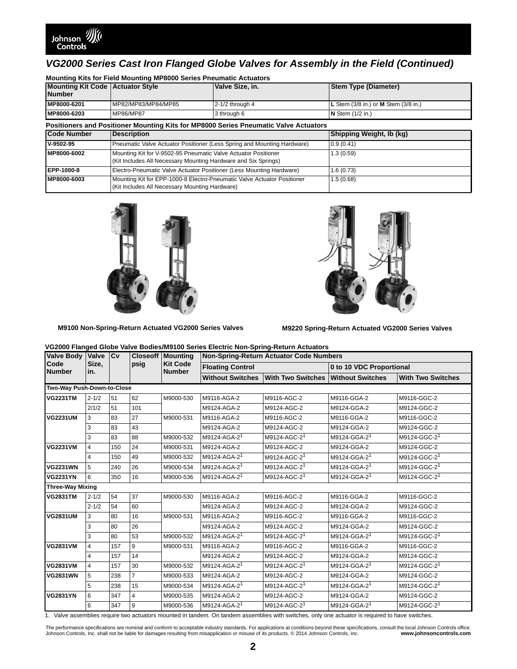

| <b>Mounting Kit Code Actuator Style</b><br><b>Number</b> | <b>MOUTHING NIS TOF FIGIU MOUTHING MIT 0000 JEFFES F HEUTHALIC ACTUALORS</b> | Valve Size, in.                                                                                                                  | <b>Stem Type (Diameter)</b>              |
|----------------------------------------------------------|------------------------------------------------------------------------------|----------------------------------------------------------------------------------------------------------------------------------|------------------------------------------|
| MP8000-6201                                              | MP82/MP83/MP84/MP85                                                          | $2-1/2$ through $4$                                                                                                              | L Stem $(3/8$ in.) or M Stem $(3/8$ in.) |
| MP8000-6203                                              | MP86/MP87                                                                    | 3 through 6                                                                                                                      | $N$ Stem $(1/2$ in.)                     |
|                                                          |                                                                              | Positioners and Positioner Mounting Kits for MP8000 Series Pneumatic Valve Actuators                                             |                                          |
| <b>Code Number</b>                                       | <b>Description</b>                                                           |                                                                                                                                  | Shipping Weight, Ib (kg)                 |
| V-9502-95                                                |                                                                              | Pneumatic Valve Actuator Positioner (Less Spring and Mounting Hardware)                                                          | 0.9(0.41)                                |
| MP8000-6002                                              |                                                                              | Mounting Kit for V-9502-95 Pneumatic Valve Actuator Positioner<br>(Kit Includes All Necessary Mounting Hardware and Six Springs) | 1.3(0.59)                                |
| EPP-1000-8                                               |                                                                              | Electro-Pneumatic Valve Actuator Positioner (Less Mounting Hardware)                                                             | 1.6(0.73)                                |
| MP8000-6003                                              | (Kit Includes All Necessary Mounting Hardware)                               | Mounting Kit for EPP-1000-8 Electro-Pneumatic Valve Actuator Positioner                                                          | 1.5(0.68)                                |

**Mounting Kits for Field Mounting MP8000 Series Pneumatic Actuators**





**M9100 Non-Spring-Return Actuated VG2000 Series Valves**

**M9220 Spring-Return Actuated VG2000 Series Valves**

| VG2000 Flanged Globe Valve Bodies/M9100 Series Electric Non-Spring-Return Actuators |  |
|-------------------------------------------------------------------------------------|--|
|-------------------------------------------------------------------------------------|--|

| <b>Valve Body</b>          | Valve          | <b>Cv</b> | psig           | <b>Closeoff   Mounting</b>       | <b>Non-Spring-Return Actuator Code Numbers</b> |                          |                          |                          |  |  |
|----------------------------|----------------|-----------|----------------|----------------------------------|------------------------------------------------|--------------------------|--------------------------|--------------------------|--|--|
| Code<br><b>Number</b>      | Size,<br>in.   |           |                | <b>Kit Code</b><br><b>Number</b> | <b>Floating Control</b>                        |                          | 0 to 10 VDC Proportional |                          |  |  |
|                            |                |           |                | <b>Without Switches</b>          | <b>With Two Switches</b>                       | <b>Without Switches</b>  | <b>With Two Switches</b> |                          |  |  |
| Two-Way Push-Down-to-Close |                |           |                |                                  |                                                |                          |                          |                          |  |  |
| <b>VG2231TM</b>            | $2 - 1/2$      | 51        | 62             | M9000-530                        | M9116-AGA-2                                    | M9116-AGC-2              | M9116-GGA-2              | M9116-GGC-2              |  |  |
|                            | 2/1/2          | 51        | 101            |                                  | M9124-AGA-2                                    | M9124-AGC-2              | M9124-GGA-2              | M9124-GGC-2              |  |  |
| <b>VG2231UM</b>            | 3              | 83        | 27             | M9000-531                        | M9116-AGA-2                                    | M9116-AGC-2              | M9116-GGA-2              | M9116-GGC-2              |  |  |
|                            | 3              | 83        | 43             |                                  | M9124-AGA-2                                    | M9124-AGC-2              | M9124-GGA-2              | M9124-GGC-2              |  |  |
|                            | 3              | 83        | 88             | M9000-532                        | M9124-AGA-2 <sup>1</sup>                       | M9124-AGC-2 <sup>1</sup> | M9124-GGA-2 <sup>1</sup> | M9124-GGC-2 <sup>1</sup> |  |  |
| <b>VG2231VM</b>            | 4              | 150       | 24             | M9000-531                        | M9124-AGA-2                                    | M9124-AGC-2              | M9124-GGA-2              | M9124-GGC-2              |  |  |
|                            | $\overline{4}$ | 150       | 49             | M9000-532                        | M9124-AGA-2 <sup>1</sup>                       | M9124-AGC-2 <sup>1</sup> | M9124-GGA-2 <sup>1</sup> | M9124-GGC-2 <sup>1</sup> |  |  |
| <b>VG2231WN</b>            | 5              | 240       | 26             | M9000-534                        | M9124-AGA-2 <sup>1</sup>                       | M9124-AGC-2 <sup>1</sup> | M9124-GGA-2 <sup>1</sup> | M9124-GGC-2 <sup>1</sup> |  |  |
| <b>VG2231YN</b>            | 6              | 350       | 16             | M9000-536                        | M9124-AGA-2 <sup>1</sup>                       | M9124-AGC-2 <sup>1</sup> | M9124-GGA-2 <sup>1</sup> | M9124-GGC-2 <sup>1</sup> |  |  |
| <b>Three-Way Mixing</b>    |                |           |                |                                  |                                                |                          |                          |                          |  |  |
| <b>VG2831TM</b>            | $2 - 1/2$      | 54        | 37             | M9000-530                        | M9116-AGA-2                                    | M9116-AGC-2              | M9116-GGA-2              | M9116-GGC-2              |  |  |
|                            | $2 - 1/2$      | 54        | 60             |                                  | M9124-AGA-2                                    | M9124-AGC-2              | M9124-GGA-2              | M9124-GGC-2              |  |  |
| <b>VG2831UM</b>            | 3              | 80        | 16             | M9000-531                        | M9116-AGA-2                                    | M9116-AGC-2              | M9116-GGA-2              | M9116-GGC-2              |  |  |
|                            | 3              | 80        | 26             |                                  | M9124-AGA-2                                    | M9124-AGC-2              | M9124-GGA-2              | M9124-GGC-2              |  |  |
|                            | 3              | 80        | 53             | M9000-532                        | M9124-AGA-2 <sup>1</sup>                       | M9124-AGC-2 <sup>1</sup> | M9124-GGA-2 <sup>1</sup> | M9124-GGC-2 <sup>1</sup> |  |  |
| <b>VG2831VM</b>            | 4              | 157       | 9              | M9000-531                        | M9116-AGA-2                                    | M9116-AGC-2              | M9116-GGA-2              | M9116-GGC-2              |  |  |
|                            | $\overline{4}$ | 157       | 14             |                                  | M9124-AGA-2                                    | M9124-AGC-2              | M9124-GGA-2              | M9124-GGC-2              |  |  |
| <b>VG2831VM</b>            | $\overline{4}$ | 157       | 30             | M9000-532                        | M9124-AGA-2 <sup>1</sup>                       | M9124-AGC-2 <sup>1</sup> | M9124-GGA-2 <sup>1</sup> | M9124-GGC-2 <sup>1</sup> |  |  |
| <b>VG2831WN</b>            | 5              | 238       | $\overline{7}$ | M9000-533                        | M9124-AGA-2                                    | M9124-AGC-2              | M9124-GGA-2              | M9124-GGC-2              |  |  |
|                            | 5              | 238       | 15             | M9000-534                        | M9124-AGA-2 <sup>1</sup>                       | M9124-AGC-2 <sup>1</sup> | M9124-GGA-2 <sup>1</sup> | M9124-GGC-2 <sup>1</sup> |  |  |
| <b>VG2831YN</b>            | 6              | 347       | $\overline{4}$ | M9000-535                        | M9124-AGA-2                                    | M9124-AGC-2              | M9124-GGA-2              | M9124-GGC-2              |  |  |
|                            | 6              | 347       | 9              | M9000-536                        | M9124-AGA-2 <sup>1</sup>                       | M9124-AGC-2 <sup>1</sup> | M9124-GGA-2 <sup>1</sup> | M9124-GGC-2 <sup>1</sup> |  |  |
|                            |                |           |                |                                  |                                                |                          |                          |                          |  |  |

<span id="page-1-0"></span>1. Valve assemblies require two actuators mounted in tandem. On tandem assemblies with switches, only one actuator is required to have switches.

The performance specifications are nominal and conform to acceptable industry standards. For applications at conditions beyond these specifications, consult the local Johnson Controls office.<br>Johnson Controls, Inc. www.joh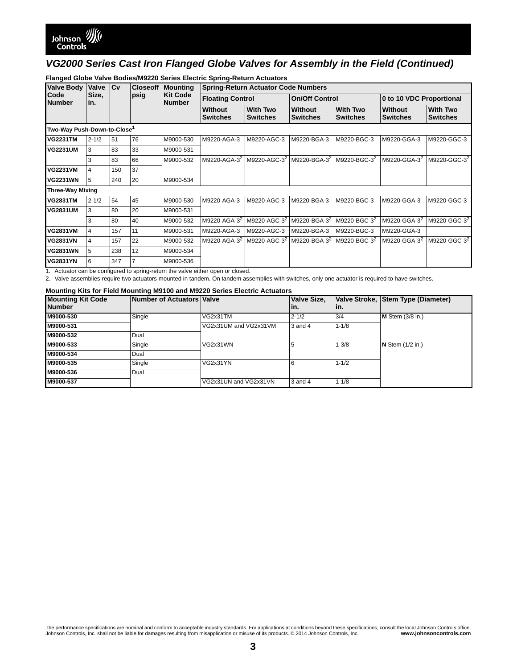| <b>Valve Body</b>                       | Valve        | <b>ICv</b> | <b>Closeoff</b> | <b>Mounting</b>                  | <b>Spring-Return Actuator Code Numbers</b> |                                    |                                                                            |                                    |                            |                                    |  |
|-----------------------------------------|--------------|------------|-----------------|----------------------------------|--------------------------------------------|------------------------------------|----------------------------------------------------------------------------|------------------------------------|----------------------------|------------------------------------|--|
| Code<br><b>Number</b>                   | Size,<br>in. |            | psig            | <b>Kit Code</b><br><b>Number</b> |                                            | <b>Floating Control</b>            |                                                                            | <b>On/Off Control</b>              |                            | 0 to 10 VDC Proportional           |  |
|                                         |              |            |                 |                                  | <b>Without</b><br><b>Switches</b>          | <b>With Two</b><br><b>Switches</b> | Without<br><b>Switches</b>                                                 | <b>With Two</b><br><b>Switches</b> | Without<br><b>Switches</b> | <b>With Two</b><br><b>Switches</b> |  |
| Two-Way Push-Down-to-Close <sup>1</sup> |              |            |                 |                                  |                                            |                                    |                                                                            |                                    |                            |                                    |  |
| <b>VG2231TM</b>                         | $2 - 1/2$    | 51         | 76              | M9000-530                        | M9220-AGA-3                                | M9220-AGC-3                        | M9220-BGA-3                                                                | M9220-BGC-3                        | M9220-GGA-3                | M9220-GGC-3                        |  |
| <b>VG2231UM</b>                         | 3            | 83         | 33              | M9000-531                        |                                            |                                    |                                                                            |                                    |                            |                                    |  |
|                                         | 3            | 83         | 66              | M9000-532                        | M9220-AGA-3 <sup>2</sup>                   |                                    | M9220-AGC-3 <sup>2</sup> M9220-BGA-3 <sup>2</sup> M9220-BGC-3 <sup>2</sup> |                                    | M9220-GGA-3 <sup>2</sup>   | M9220-GGC-3 <sup>2</sup>           |  |
| <b>VG2231VM</b>                         | 4            | 150        | 37              |                                  |                                            |                                    |                                                                            |                                    |                            |                                    |  |
| <b>VG2231WN</b>                         | 5            | 240        | 20              | M9000-534                        |                                            |                                    |                                                                            |                                    |                            |                                    |  |
| <b>Three-Way Mixing</b>                 |              |            |                 |                                  |                                            |                                    |                                                                            |                                    |                            |                                    |  |
| <b>VG2831TM</b>                         | $2 - 1/2$    | 54         | 45              | M9000-530                        | M9220-AGA-3                                | M9220-AGC-3                        | M9220-BGA-3                                                                | M9220-BGC-3                        | M9220-GGA-3                | M9220-GGC-3                        |  |
| <b>VG2831UM</b>                         | 3            | 80         | 20              | M9000-531                        |                                            |                                    |                                                                            |                                    |                            |                                    |  |
|                                         | 3            | 80         | 40              | M9000-532                        | M9220-AGA-3 <sup>2</sup>                   | M9220-AGC-3 <sup>2</sup>           | M9220-BGA-3 <sup>2</sup>                                                   | M9220-BGC-3 <sup>2</sup>           | M9220-GGA-3 <sup>2</sup>   | M9220-GGC-3 <sup>2</sup>           |  |
| <b>VG2831VM</b>                         | 4            | 157        | 11              | M9000-531                        | M9220-AGA-3                                | M9220-AGC-3                        | M9220-BGA-3                                                                | M9220-BGC-3                        | M9220-GGA-3                |                                    |  |
| <b>VG2831VN</b>                         | 4            | 157        | 22              | M9000-532                        | M9220-AGA-3 <sup>2</sup>                   | M9220-AGC-3 <sup>2</sup>           | M9220-BGA-3 <sup>2</sup>                                                   | M9220-BGC-3 <sup>2</sup>           | M9220-GGA-3 <sup>2</sup>   | M9220-GGC-3 <sup>2</sup>           |  |
| <b>VG2831WN</b>                         | 5            | 238        | 12              | M9000-534                        |                                            |                                    |                                                                            |                                    |                            |                                    |  |
| <b>VG2831YN</b>                         | 6            | 347        |                 | M9000-536                        |                                            |                                    |                                                                            |                                    |                            |                                    |  |

### **Flanged Globe Valve Bodies/M9220 Series Electric Spring-Return Actuators**

1. Actuator can be configured to spring-return the valve either open or closed.

<span id="page-2-0"></span>2. Valve assemblies require two actuators mounted in tandem. On tandem assemblies with switches, only one actuator is required to have switches.

#### **Mounting Kits for Field Mounting M9100 and M9220 Series Electric Actuators**

| <b>Mounting Kit Code</b><br><b>Number</b> | <b>Number of Actuators Valve</b> |                       | Valve Size,<br>l in. | In.       | Valve Stroke, Stem Type (Diameter) |
|-------------------------------------------|----------------------------------|-----------------------|----------------------|-----------|------------------------------------|
| M9000-530                                 | Single                           | VG2x31TM              | $2 - 1/2$            | 3/4       | $M$ Stem (3/8 in.)                 |
| M9000-531                                 |                                  | VG2x31UM and VG2x31VM | 3 and 4              | $1 - 1/8$ |                                    |
| M9000-532                                 | Dual                             |                       |                      |           |                                    |
| M9000-533                                 | Single                           | VG2x31WN              |                      | $1 - 3/8$ | $N$ Stem $(1/2$ in.)               |
| M9000-534                                 | Dual                             |                       |                      |           |                                    |
| M9000-535                                 | Single                           | VG2x31YN              |                      | $1 - 1/2$ |                                    |
| M9000-536                                 | Dual                             |                       |                      |           |                                    |
| M9000-537                                 |                                  | VG2x31UN and VG2x31VN | 3 and 4              | $1 - 1/8$ |                                    |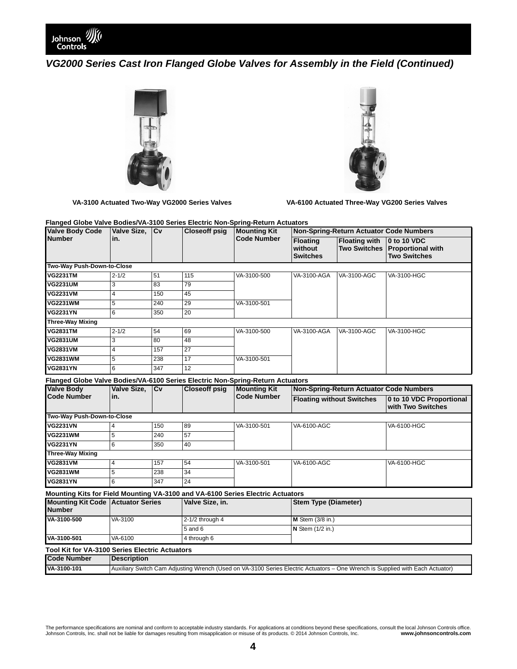





**VA-3100 Actuated Two-Way VG2000 Series Valves VA-6100 Actuated Three-Way VG200 Series Valves**

**Flanged Globe Valve Bodies/VA-3100 Series Electric Non-Spring-Return Actuators**

| <b>Valve Body Code</b>                                                         | Valve Size,                                                                                                                   | $\overline{\text{cv}}$ | <b>Closeoff psig</b> | <b>Mounting Kit</b><br><b>Code Number</b> | <b>Non-Spring-Return Actuator Code Numbers</b> |                                             |                                                                |  |
|--------------------------------------------------------------------------------|-------------------------------------------------------------------------------------------------------------------------------|------------------------|----------------------|-------------------------------------------|------------------------------------------------|---------------------------------------------|----------------------------------------------------------------|--|
| <b>Number</b>                                                                  | in.                                                                                                                           |                        |                      |                                           | <b>Floating</b><br>without<br><b>Switches</b>  | <b>Floating with</b><br><b>Two Switches</b> | 0 to 10 VDC<br><b>Proportional with</b><br><b>Two Switches</b> |  |
| Two-Way Push-Down-to-Close                                                     |                                                                                                                               |                        |                      |                                           |                                                |                                             |                                                                |  |
| <b>VG2231TM</b>                                                                | $2 - 1/2$                                                                                                                     | 51                     | 115                  | VA-3100-500                               | VA-3100-AGA                                    | VA-3100-AGC                                 | VA-3100-HGC                                                    |  |
| <b>VG2231UM</b>                                                                | 3                                                                                                                             | 83                     | 79                   |                                           |                                                |                                             |                                                                |  |
| <b>VG2231VM</b>                                                                | 4                                                                                                                             | 150                    | 45                   |                                           |                                                |                                             |                                                                |  |
| <b>VG2231WM</b>                                                                | 5                                                                                                                             | 240                    | 29                   | VA-3100-501                               |                                                |                                             |                                                                |  |
| <b>VG2231YN</b>                                                                | $6\overline{6}$                                                                                                               | 350                    | 20                   |                                           |                                                |                                             |                                                                |  |
| <b>Three-Way Mixing</b>                                                        |                                                                                                                               |                        |                      |                                           |                                                |                                             |                                                                |  |
| <b>VG2831TM</b>                                                                | $2 - 1/2$                                                                                                                     | 54                     | 69                   | VA-3100-500                               | VA-3100-AGA                                    | VA-3100-AGC                                 | VA-3100-HGC                                                    |  |
| <b>VG2831UM</b>                                                                | 3                                                                                                                             | 80                     | 48                   |                                           |                                                |                                             |                                                                |  |
| <b>VG2831VM</b>                                                                | 4                                                                                                                             | 157                    | 27                   |                                           |                                                |                                             |                                                                |  |
| <b>VG2831WM</b>                                                                | 5                                                                                                                             | 238                    | 17                   | VA-3100-501                               |                                                |                                             |                                                                |  |
| <b>VG2831YN</b>                                                                | 6                                                                                                                             | 347                    | $\overline{12}$      |                                           |                                                |                                             |                                                                |  |
| Flanged Globe Valve Bodies/VA-6100 Series Electric Non-Spring-Return Actuators |                                                                                                                               |                        |                      |                                           |                                                |                                             |                                                                |  |
| <b>Valve Body</b>                                                              | Valve Size,<br>Cv                                                                                                             |                        | <b>Closeoff psig</b> | <b>Mounting Kit</b>                       | Non-Spring-Return Actuator Code Numbers        |                                             |                                                                |  |
| <b>Code Number</b>                                                             | in.                                                                                                                           |                        |                      | <b>Code Number</b>                        | <b>Floating without Switches</b>               |                                             | 0 to 10 VDC Proportional<br>with Two Switches                  |  |
| Two-Way Push-Down-to-Close                                                     |                                                                                                                               |                        |                      |                                           |                                                |                                             |                                                                |  |
| <b>VG2231VN</b>                                                                | 4                                                                                                                             | 150                    | 89                   | VA-3100-501                               | VA-6100-AGC                                    |                                             | VA-6100-HGC                                                    |  |
| <b>VG2231WM</b>                                                                | 5                                                                                                                             | 240                    | 57                   |                                           |                                                |                                             |                                                                |  |
| <b>VG2231YN</b>                                                                | $6 \overline{}$                                                                                                               | 350                    | 40                   |                                           |                                                |                                             |                                                                |  |
| <b>Three-Way Mixing</b>                                                        |                                                                                                                               |                        |                      |                                           |                                                |                                             |                                                                |  |
| <b>VG2831VM</b>                                                                | 4                                                                                                                             | 157                    | 54                   | VA-3100-501                               | VA-6100-AGC                                    |                                             | VA-6100-HGC                                                    |  |
| <b>VG2831WM</b>                                                                | 5                                                                                                                             | 238                    | 34                   |                                           |                                                |                                             |                                                                |  |
| <b>VG2831YN</b>                                                                | 6                                                                                                                             | 347                    | 24                   |                                           |                                                |                                             |                                                                |  |
| Mounting Kits for Field Mounting VA-3100 and VA-6100 Series Electric Actuators |                                                                                                                               |                        |                      |                                           |                                                |                                             |                                                                |  |
| <b>Mounting Kit Code   Actuator Series</b><br><b>Number</b>                    |                                                                                                                               |                        | Valve Size, in.      |                                           | <b>Stem Type (Diameter)</b>                    |                                             |                                                                |  |
| VA-3100-500                                                                    | VA-3100                                                                                                                       |                        | $2-1/2$ through 4    |                                           | M Stem (3/8 in.)                               |                                             |                                                                |  |
|                                                                                |                                                                                                                               |                        | $5$ and $6$          |                                           | $N$ Stem $(1/2$ in.)                           |                                             |                                                                |  |
| VA-3100-501                                                                    | VA-6100                                                                                                                       |                        | 4 through 6          |                                           |                                                |                                             |                                                                |  |
| <b>Tool Kit for VA-3100 Series Electric Actuators</b>                          |                                                                                                                               |                        |                      |                                           |                                                |                                             |                                                                |  |
| <b>Code Number</b>                                                             | <b>Description</b>                                                                                                            |                        |                      |                                           |                                                |                                             |                                                                |  |
| VA-3100-101                                                                    | Auxiliary Switch Cam Adjusting Wrench (Used on VA-3100 Series Electric Actuators - One Wrench is Supplied with Each Actuator) |                        |                      |                                           |                                                |                                             |                                                                |  |

The performance specifications are nominal and conform to acceptable industry standards. For applications at conditions beyond these specifications, consult the local Johnson Controls office.<br>Johnson Controls, Inc. www.joh